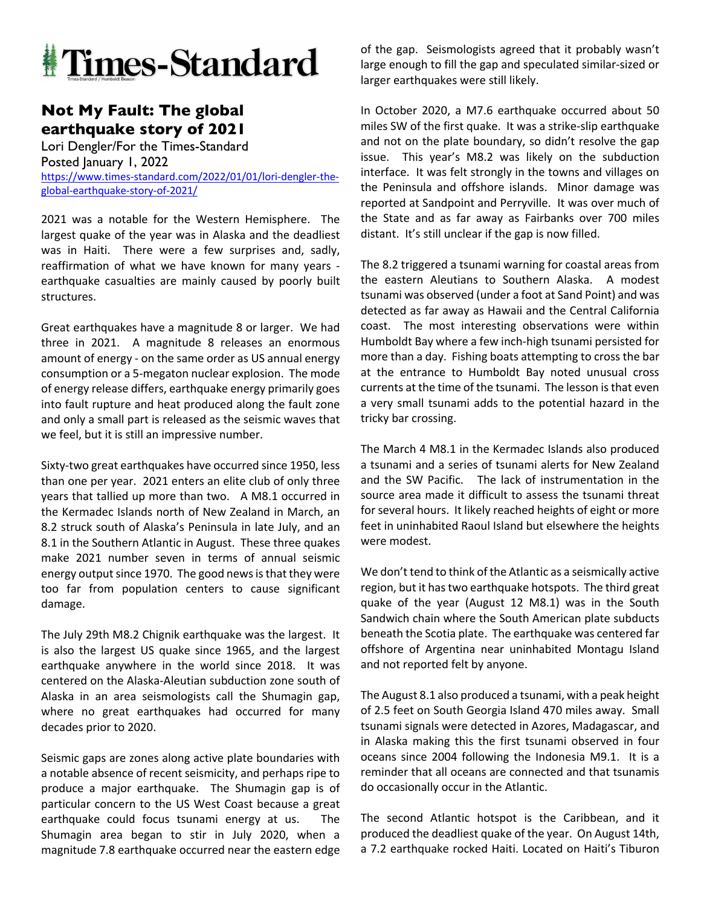

## **Not My Fault: The global earthquake story of 2021**

Lori Dengler/For the Times-Standard Posted January 1, 2022 https://www.times-standard.com/2022/01/01/lori-dengler-theglobal-earthquake-story-of-2021/

2021 was a notable for the Western Hemisphere. The largest quake of the year was in Alaska and the deadliest was in Haiti. There were a few surprises and, sadly, reaffirmation of what we have known for many years earthquake casualties are mainly caused by poorly built structures.

Great earthquakes have a magnitude 8 or larger. We had three in 2021. A magnitude 8 releases an enormous amount of energy - on the same order as US annual energy consumption or a 5-megaton nuclear explosion. The mode of energy release differs, earthquake energy primarily goes into fault rupture and heat produced along the fault zone and only a small part is released as the seismic waves that we feel, but it is still an impressive number.

Sixty-two great earthquakes have occurred since 1950, less than one per year. 2021 enters an elite club of only three years that tallied up more than two. A M8.1 occurred in the Kermadec Islands north of New Zealand in March, an 8.2 struck south of Alaska's Peninsula in late July, and an 8.1 in the Southern Atlantic in August. These three quakes make 2021 number seven in terms of annual seismic energy output since 1970. The good news is that they were too far from population centers to cause significant damage.

The July 29th M8.2 Chignik earthquake was the largest. It is also the largest US quake since 1965, and the largest earthquake anywhere in the world since 2018. It was centered on the Alaska-Aleutian subduction zone south of Alaska in an area seismologists call the Shumagin gap, where no great earthquakes had occurred for many decades prior to 2020.

Seismic gaps are zones along active plate boundaries with a notable absence of recent seismicity, and perhaps ripe to produce a major earthquake. The Shumagin gap is of particular concern to the US West Coast because a great earthquake could focus tsunami energy at us. The Shumagin area began to stir in July 2020, when a magnitude 7.8 earthquake occurred near the eastern edge of the gap. Seismologists agreed that it probably wasn't large enough to fill the gap and speculated similar-sized or larger earthquakes were still likely.

In October 2020, a M7.6 earthquake occurred about 50 miles SW of the first quake. It was a strike-slip earthquake and not on the plate boundary, so didn't resolve the gap issue. This year's M8.2 was likely on the subduction interface. It was felt strongly in the towns and villages on the Peninsula and offshore islands. Minor damage was reported at Sandpoint and Perryville. It was over much of the State and as far away as Fairbanks over 700 miles distant. It's still unclear if the gap is now filled.

The 8.2 triggered a tsunami warning for coastal areas from the eastern Aleutians to Southern Alaska. A modest tsunami was observed (under a foot at Sand Point) and was detected as far away as Hawaii and the Central California coast. The most interesting observations were within Humboldt Bay where a few inch-high tsunami persisted for more than a day. Fishing boats attempting to cross the bar at the entrance to Humboldt Bay noted unusual cross currents at the time of the tsunami. The lesson is that even a very small tsunami adds to the potential hazard in the tricky bar crossing.

The March 4 M8.1 in the Kermadec Islands also produced a tsunami and a series of tsunami alerts for New Zealand and the SW Pacific. The lack of instrumentation in the source area made it difficult to assess the tsunami threat for several hours. It likely reached heights of eight or more feet in uninhabited Raoul Island but elsewhere the heights were modest.

We don't tend to think of the Atlantic as a seismically active region, but it has two earthquake hotspots. The third great quake of the year (August 12 M8.1) was in the South Sandwich chain where the South American plate subducts beneath the Scotia plate. The earthquake was centered far offshore of Argentina near uninhabited Montagu Island and not reported felt by anyone.

The August 8.1 also produced a tsunami, with a peak height of 2.5 feet on South Georgia Island 470 miles away. Small tsunami signals were detected in Azores, Madagascar, and in Alaska making this the first tsunami observed in four oceans since 2004 following the Indonesia M9.1. It is a reminder that all oceans are connected and that tsunamis do occasionally occur in the Atlantic.

The second Atlantic hotspot is the Caribbean, and it produced the deadliest quake of the year. On August 14th, a 7.2 earthquake rocked Haiti. Located on Haiti's Tiburon